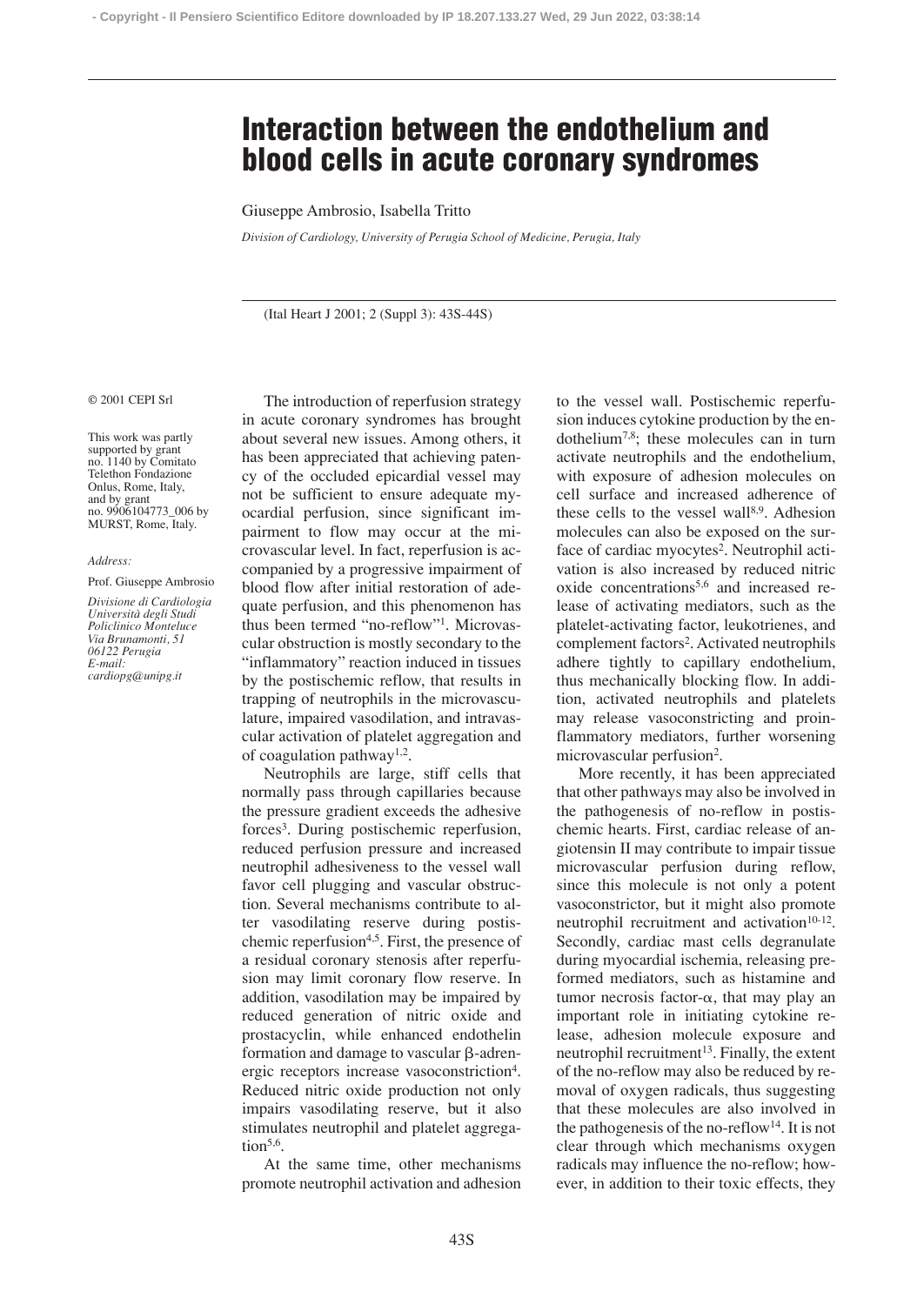# **Interaction between the endothelium and blood cells in acute coronary syndromes**

### Giuseppe Ambrosio, Isabella Tritto

*Division of Cardiology, University of Perugia School of Medicine, Perugia, Italy*

(Ital Heart J 2001; 2 (Suppl 3): 43S-44S)

#### © 2001 CEPI Srl

This work was partly supported by grant no. 1140 by Comitato Telethon Fondazione Onlus, Rome, Italy, and by grant no. 9906104773\_006 by MURST, Rome, Italy.

#### *Address:*

#### Prof. Giuseppe Ambrosio

*Divisione di Cardiologia Università degli Studi Policlinico Monteluce Via Brunamonti, 51 06122 Perugia E-mail: cardiopg@unipg.it*

The introduction of reperfusion strategy in acute coronary syndromes has brought about several new issues. Among others, it has been appreciated that achieving patency of the occluded epicardial vessel may not be sufficient to ensure adequate myocardial perfusion, since significant impairment to flow may occur at the microvascular level. In fact, reperfusion is accompanied by a progressive impairment of blood flow after initial restoration of adequate perfusion, and this phenomenon has thus been termed "no-reflow"1. Microvascular obstruction is mostly secondary to the "inflammatory" reaction induced in tissues by the postischemic reflow, that results in trapping of neutrophils in the microvasculature, impaired vasodilation, and intravascular activation of platelet aggregation and of coagulation pathway1,2.

Neutrophils are large, stiff cells that normally pass through capillaries because the pressure gradient exceeds the adhesive forces3. During postischemic reperfusion, reduced perfusion pressure and increased neutrophil adhesiveness to the vessel wall favor cell plugging and vascular obstruction. Several mechanisms contribute to alter vasodilating reserve during postischemic reperfusion4,5. First, the presence of a residual coronary stenosis after reperfusion may limit coronary flow reserve. In addition, vasodilation may be impaired by reduced generation of nitric oxide and prostacyclin, while enhanced endothelin formation and damage to vascular  $\beta$ -adrenergic receptors increase vasoconstriction4. Reduced nitric oxide production not only impairs vasodilating reserve, but it also stimulates neutrophil and platelet aggregation $5,6$ .

At the same time, other mechanisms promote neutrophil activation and adhesion to the vessel wall. Postischemic reperfusion induces cytokine production by the endothelium7,8; these molecules can in turn activate neutrophils and the endothelium, with exposure of adhesion molecules on cell surface and increased adherence of these cells to the vessel wall<sup>8,9</sup>. Adhesion molecules can also be exposed on the surface of cardiac myocytes<sup>2</sup>. Neutrophil activation is also increased by reduced nitric oxide concentrations<sup>5,6</sup> and increased release of activating mediators, such as the platelet-activating factor, leukotrienes, and complement factors2. Activated neutrophils adhere tightly to capillary endothelium, thus mechanically blocking flow. In addition, activated neutrophils and platelets may release vasoconstricting and proinflammatory mediators, further worsening microvascular perfusion<sup>2</sup>.

More recently, it has been appreciated that other pathways may also be involved in the pathogenesis of no-reflow in postischemic hearts. First, cardiac release of angiotensin II may contribute to impair tissue microvascular perfusion during reflow, since this molecule is not only a potent vasoconstrictor, but it might also promote neutrophil recruitment and activation<sup>10-12</sup>. Secondly, cardiac mast cells degranulate during myocardial ischemia, releasing preformed mediators, such as histamine and tumor necrosis factor- $\alpha$ , that may play an important role in initiating cytokine release, adhesion molecule exposure and neutrophil recruitment<sup>13</sup>. Finally, the extent of the no-reflow may also be reduced by removal of oxygen radicals, thus suggesting that these molecules are also involved in the pathogenesis of the no-reflow<sup>14</sup>. It is not clear through which mechanisms oxygen radicals may influence the no-reflow; however, in addition to their toxic effects, they